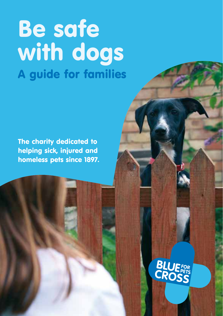# Be safe with dogs A guide for families

The charity dedicated to helping sick, injured and homeless pets since 1897.

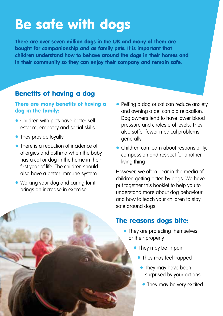## Be safe with dogs

There are over seven million dogs in the UK and many of them are bought for companionship and as family pets. It is important that children understand how to behave around the dogs in their homes and in their community so they can enjoy their company and remain safe.

#### Benefits of having a dog

#### There are many benefits of having a dog in the family:

- Children with pets have better selfesteem, empathy and social skills
- They provide loyalty
- There is a reduction of incidence of allergies and asthma when the baby has a cat or dog in the home in their first year of life. The children should also have a better immune system.
- Walking your dog and caring for it brings an increase in exercise
- Petting a dog or cat can reduce anxiety and owning a pet can aid relaxation. Dog owners tend to have lower blood pressure and cholesterol levels. They also suffer fewer medical problems generally.
- Children can learn about responsibility, compassion and respect for another living thing

However, we often hear in the media of children getting bitten by dogs. We have put together this booklet to help you to understand more about dog behaviour and how to teach your children to stay safe around dogs.

#### The reasons dogs bite:

- They are protecting themselves or their property
	- They may be in pain
		- They may feel trapped
			- They may have been surprised by your actions
			- They may be very excited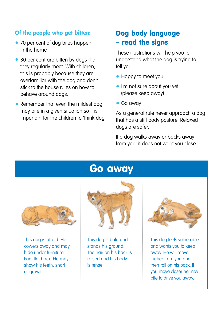#### Of the people who get bitten:

- 70 per cent of dog bites happen in the home
- 80 per cent are bitten by dogs that they regularly meet. With children, this is probably because they are overfamiliar with the dog and don't stick to the house rules on how to behave around dogs.
- Remember that even the mildest dog may bite in a given situation so it is important for the children to 'think dog'

#### Dog body language – read the signs

These illustrations will help you to understand what the dog is trying to tell you:

- Happy to meet you
- I'm not sure about you yet (please keep away)
- Go away

As a general rule never approach a dog that has a stiff body posture. Relaxed dogs are safer.

If a dog walks away or backs away from you, it does not want you close.

### Go away



This dog is afraid. He cowers away and may hide under furniture. Ears flat back. He may show his teeth, snarl or growl.



This dog is bold and stands his ground. The hair on his back is raised and his body is tense.



This dog feels vulnerable and wants you to keep away. He will move further from you and then roll on his back. If you move closer he may bite to drive you away.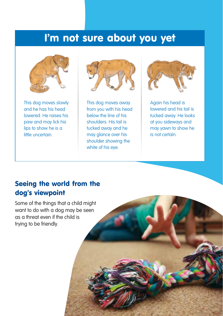## I'm not sure about you yet



This dog moves slowly and he has his head lowered. He raises his paw and may lick his lips to show he is a little uncertain.



This dog moves away from you with his head below the line of his shoulders. His tail is tucked away and he may glance over his shoulder showing the white of his eve.



Again his head is lowered and his tail is tucked away. He looks at you sideways and may yawn to show he is not certain.

#### Seeing the world from the dog's viewpoint

Some of the things that a child might want to do with a dog may be seen as a threat even if the child is trying to be friendly.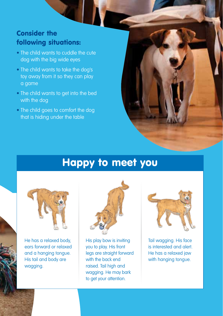#### Consider the following situations:

- The child wants to cuddle the cute dog with the big wide eyes
- The child wants to take the dog's toy away from it so they can play a game
- The child wants to get into the bed with the dog
- The child goes to comfort the dog that is hiding under the table

## Happy to meet you



He has a relaxed body, ears forward or relaxed and a hanging tongue. His tail and body are wagging.



His play bow is inviting you to play. His front legs are straight forward with the back end raised. Tail high and wagging. He may bark to get your attention.



Tail wagging. His face is interested and alert. He has a relaxed jaw with hanging tongue.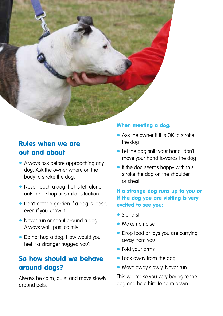

#### Rules when we are out and about

- Always ask before approaching any dog. Ask the owner where on the body to stroke the dog.
- Never touch a dog that is left alone outside a shop or similar situation
- Don't enter a garden if a dog is loose, even if you know it
- Never run or shout around a dog. Always walk past calmly
- Do not hug a dog. How would you feel if a stranger hugged you?

#### So how should we behave around dogs?

Always be calm, quiet and move slowly around pets.

#### When meeting a dog:

- Ask the owner if it is OK to stroke the dog
- Let the dog sniff your hand, don't move your hand towards the dog
- If the dog seems happy with this, stroke the dog on the shoulder or chest

#### If a strange dog runs up to you or if the dog you are visiting is very excited to see you:

- Stand still
- Make no noise
- Drop food or toys you are carrying away from you
- Fold your arms
- Look away from the dog
- Move away slowly. Never run.

This will make you very boring to the dog and help him to calm down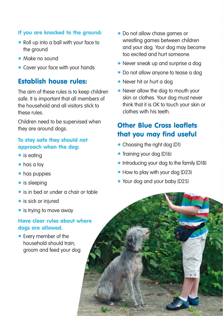#### If you are knocked to the ground:

- Roll up into a ball with your face to the ground
- Make no sound
- Cover your face with your hands

#### Establish house rules:

The aim of these rules is to keep children safe. It is important that all members of the household and all visitors stick to these rules.

Children need to be supervised when they are around dogs.

#### To stay safe they should not approach when the dog:

- is eating
- has a toy
- has puppies
- is sleeping
- is in bed or under a chair or table
- is sick or injured
- is trying to move away

#### Have clear rules about where dogs are allowed.

• Every member of the household should train, groom and feed your dog

- Do not allow chase games or wrestling games between children and your dog. Your dog may become too excited and hurt someone.
- Never sneak up and surprise a dog
- Do not allow anyone to tease a dog
- Never hit or hurt a dog
- Never allow the dog to mouth your skin or clothes. Your dog must never think that it is OK to touch your skin or clothes with his teeth.

### Other Blue Cross leaflets that you may find useful

- Choosing the right dog (D1)
- Training your dog (D16)
- Introducing your dog to the family (D18)
- How to play with your dog (D23)
- Your dog and your baby (D25)